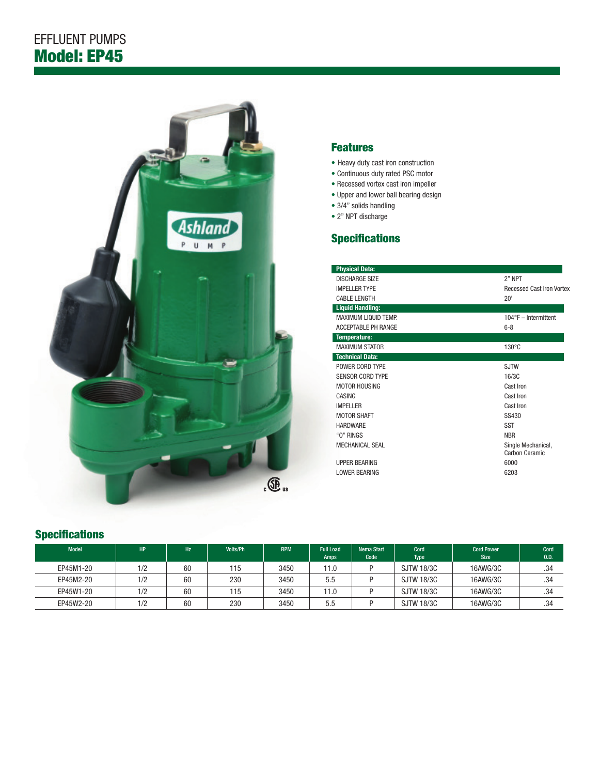

## Features

- Heavy duty cast iron construction
- Continuous duty rated PSC motor
- Recessed vortex cast iron impeller
- Upper and lower ball bearing design
- 3/4" solids handling
- 2" NPT discharge

## **Specifications**

| <b>Physical Data:</b>       |                                      |  |  |  |  |
|-----------------------------|--------------------------------------|--|--|--|--|
| <b>DISCHARGE SIZE</b>       | 2" NPT                               |  |  |  |  |
| <b>IMPELLER TYPE</b>        | <b>Recessed Cast Iron Vortex</b>     |  |  |  |  |
| <b>CABLE LENGTH</b>         | 20'                                  |  |  |  |  |
| <b>Liquid Handling:</b>     |                                      |  |  |  |  |
| <b>MAXIMUM LIQUID TEMP.</b> | $104^{\circ}F -$ Intermittent        |  |  |  |  |
| <b>ACCEPTABLE PH RANGE</b>  | $6 - 8$                              |  |  |  |  |
| Temperature:                |                                      |  |  |  |  |
| <b>MAXIMUM STATOR</b>       | $130^{\circ}$ C                      |  |  |  |  |
| <b>Technical Data:</b>      |                                      |  |  |  |  |
| POWER CORD TYPE             | <b>SJTW</b>                          |  |  |  |  |
| <b>SENSOR CORD TYPE</b>     | 16/3C                                |  |  |  |  |
| <b>MOTOR HOUSING</b>        | Cast Iron                            |  |  |  |  |
| CASING                      | Cast Iron                            |  |  |  |  |
| <b>IMPELLER</b>             | Cast Iron                            |  |  |  |  |
| <b>MOTOR SHAFT</b>          | SS430                                |  |  |  |  |
| <b>HARDWARF</b>             | <b>SST</b>                           |  |  |  |  |
| "O" RINGS                   | <b>NBR</b>                           |  |  |  |  |
| MECHANICAL SEAL             | Single Mechanical,<br>Carbon Ceramic |  |  |  |  |
| <b>UPPER BEARING</b>        | 6000                                 |  |  |  |  |
| <b>LOWER BEARING</b>        | 6203                                 |  |  |  |  |
|                             |                                      |  |  |  |  |

## **Specifications**

| <b>Model</b> | <b>HP</b> | <b>Hz</b> | Volts/Ph | <b>RPM</b> | <b>Full Load</b><br><b>Amps</b> | Nema Start<br>Code | Cord<br><b>Type</b> | <b>Cord Power</b><br><b>Size</b> | Cord<br>0.D. |
|--------------|-----------|-----------|----------|------------|---------------------------------|--------------------|---------------------|----------------------------------|--------------|
| EP45M1-20    | 1/2       | 60        | 115      | 3450       | 11.0                            | D                  | <b>SJTW 18/3C</b>   | 16AWG/3C                         | .34          |
| EP45M2-20    | 1/2       | 60        | 230      | 3450       | 5.5                             |                    | <b>SJTW 18/3C</b>   | 16AWG/3C                         | .34          |
| EP45W1-20    | 1/2       | 60        | 115      | 3450       | 11.0                            | n                  | <b>SJTW 18/3C</b>   | 16AWG/3C                         | .34          |
| EP45W2-20    | 1/2       | 60        | 230      | 3450       | 5.5                             |                    | <b>SJTW 18/3C</b>   | 16AWG/3C                         | .34          |